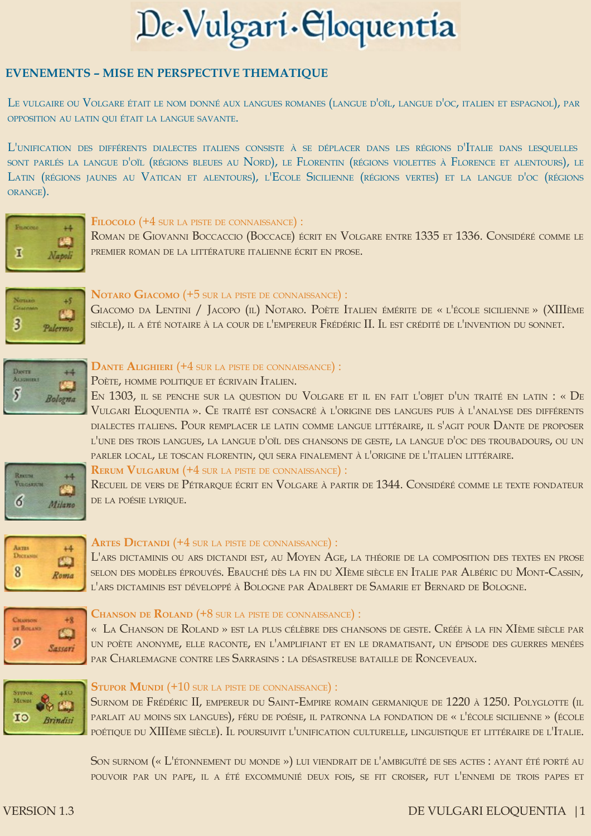# De Vulgari Gloquentia

# **EVENEMENTS - MISE EN PERSPECTIVE THEMATIOUE**

Le vulgaire ou Volgare était le nom donné aux langues romanes (langue d'oïl, langue d'oc, italien et espagnol), par OPPOSITION AU LATIN QUI ÉTAIT LA LANGUE SAVANTE.

L'UNIFICATION DES DIFFÉRENTS DIALECTES ITALIENS CONSISTE À SE DÉPLACER DANS LES RÉGIONS D'ITALIE DANS LESOUELLES SONT PARLÉS LA LANGUE D'OÏL (RÉGIONS BLEUES AU NORD), LE FLORENTIN (RÉGIONS VIOLETTES À FLORENCE ET ALENTOURS), LE LATIN (RÉGIONS JAUNES AU VATICAN ET ALENTOURS), L'ECOLE SICILIENNE (RÉGIONS VERTES) ET LA LANGUE D'OC (RÉGIONS ORANGE).



## FILOCOLO (+4 SUR LA PISTE DE CONNAISSANCE) :

ROMAN DE GIOVANNI BOCCACCIO (BOCCACE) ÉCRIT EN VOLGARE ENTRE 1335 ET 1336. CONSIDÉRÉ COMME LE PREMIER ROMAN DE LA LITTÉRATURE ITALIENNE ÉCRIT EN PROSE.



# NOTARO GIACOMO (+5 SUR LA PISTE DE CONNAISSANCE) :

GIACOMO DA LENTINI / JACOPO (IL) NOTARO. POÈTE ITALIEN ÉMÉRITE DE « L'ÉCOLE SICILIENNE » (XIIIÈME SIÈCLE), IL A ÉTÉ NOTAIRE À LA COUR DE L'EMPEREUR FRÉDÉRIC II. IL EST CRÉDITÉ DE L'INVENTION DU SONNET.



## DANTE ALIGHIERI (+4 SUR LA PISTE DE CONNAISSANCE) :

## POÈTE, HOMME POLITIQUE ET ÉCRIVAIN ITALIEN.

EN 1303, IL SE PENCHE SUR LA QUESTION DU VOLGARE ET IL EN FAIT L'OBJET D'UN TRAITÉ EN LATIN : « DE VULGARI ELOQUENTIA ». CE TRAITÉ EST CONSACRÉ À L'ORIGINE DES LANGUES PUIS À L'ANALYSE DES DIFFÉRENTS DIALECTES ITALIENS. POUR REMPLACER LE LATIN COMME LANGUE LITTÉRAIRE, IL S'AGIT POUR DANTE DE PROPOSER L'UNE DES TROIS LANGUES, LA LANGUE D'OÏL DES CHANSONS DE GESTE, LA LANGUE D'OC DES TROUBADOURS, OU UN PARLER LOCAL, LE TOSCAN FLORENTIN, QUI SERA FINALEMENT À L'ORIGINE DE L'ITALIEN LITTÉRAIRE.



## **RERUM VULGARUM (+4 SUR LA PISTE DE CONNAISSANCE):**

RECUEIL DE VERS DE PÉTRAROUE ÉCRIT EN VOLGARE À PARTIR DE 1344. CONSIDÉRÉ COMME LE TEXTE FONDATEUR DE LA POÉSIE LYRIQUE.



## **ARTES DICTANDI (+4 SUR LA PISTE DE CONNAISSANCE):**

L'ARS DICTAMINIS OU ARS DICTANDI EST, AU MOYEN AGE, LA THÉORIE DE LA COMPOSITION DES TEXTES EN PROSE SELON DES MODÈLES ÉPROUVÉS. EBAUCHÉ DÈS LA FIN DU XIÈME SIÈCLE EN ITALIE PAR ALBÉRIC DU MONT-CASSIN, L'ARS DICTAMINIS EST DÉVELOPPÉ À BOLOGNE PAR ADALBERT DE SAMARIE ET BERNARD DE BOLOGNE.



## **CHANSON DE ROLAND (+8 SUR LA PISTE DE CONNAISSANCE):**

« LA CHANSON DE ROLAND » EST LA PLUS CÉLÈBRE DES CHANSONS DE GESTE. CRÉÉE À LA FIN XIÈME SIÈCLE PAR UN POÈTE ANONYME, ELLE RACONTE, EN L'AMPLIFIANT ET EN LE DRAMATISANT, UN ÉPISODE DES GUERRES MENÉES PAR CHARLEMAGNE CONTRE LES SARRASINS : LA DÉSASTREUSE BATAILLE DE RONCEVEAUX.



## **STUPOR MUNDI (+10 SUR LA PISTE DE CONNAISSANCE):**

SURNOM DE FRÉDÉRIC II, EMPEREUR DU SAINT-EMPIRE ROMAIN GERMANIOUE DE 1220 À 1250. POLYGLOTTE (IL PARLAIT AU MOINS SIX LANGUES), FÉRU DE POÉSIE, IL PATRONNA LA FONDATION DE « L'ÉCOLE SICILIENNE » (ÉCOLE POÉTIQUE DU XIIIÈME SIÈCLE). IL POURSUIVIT L'UNIFICATION CULTURELLE, LINGUISTIQUE ET LITTÉRAIRE DE L'ITALIE.

SON SURNOM (« L'ÉTONNEMENT DU MONDE ») LUI VIENDRAIT DE L'AMBIGUÏTÉ DE SES ACTES : AYANT ÉTÉ PORTÉ AU POUVOIR PAR UN PAPE, IL A ÉTÉ EXCOMMUNIÉ DEUX FOIS, SE FIT CROISER, FUT L'ENNEMI DE TROIS PAPES ET